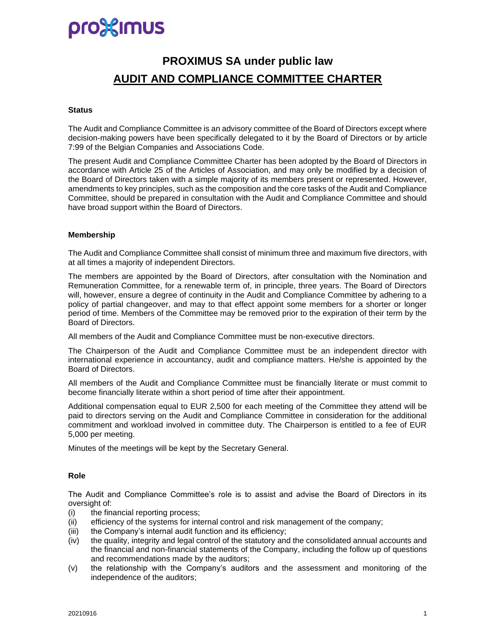# pro}{Imus

# **PROXIMUS SA under public law AUDIT AND COMPLIANCE COMMITTEE CHARTER**

#### **Status**

The Audit and Compliance Committee is an advisory committee of the Board of Directors except where decision-making powers have been specifically delegated to it by the Board of Directors or by article 7:99 of the Belgian Companies and Associations Code.

The present Audit and Compliance Committee Charter has been adopted by the Board of Directors in accordance with Article 25 of the Articles of Association, and may only be modified by a decision of the Board of Directors taken with a simple majority of its members present or represented. However, amendments to key principles, such as the composition and the core tasks of the Audit and Compliance Committee, should be prepared in consultation with the Audit and Compliance Committee and should have broad support within the Board of Directors.

### **Membership**

The Audit and Compliance Committee shall consist of minimum three and maximum five directors, with at all times a majority of independent Directors.

The members are appointed by the Board of Directors, after consultation with the Nomination and Remuneration Committee, for a renewable term of, in principle, three years. The Board of Directors will, however, ensure a degree of continuity in the Audit and Compliance Committee by adhering to a policy of partial changeover, and may to that effect appoint some members for a shorter or longer period of time. Members of the Committee may be removed prior to the expiration of their term by the Board of Directors.

All members of the Audit and Compliance Committee must be non-executive directors.

The Chairperson of the Audit and Compliance Committee must be an independent director with international experience in accountancy, audit and compliance matters. He/she is appointed by the Board of Directors.

All members of the Audit and Compliance Committee must be financially literate or must commit to become financially literate within a short period of time after their appointment.

Additional compensation equal to EUR 2,500 for each meeting of the Committee they attend will be paid to directors serving on the Audit and Compliance Committee in consideration for the additional commitment and workload involved in committee duty. The Chairperson is entitled to a fee of EUR 5,000 per meeting.

Minutes of the meetings will be kept by the Secretary General.

### **Role**

The Audit and Compliance Committee's role is to assist and advise the Board of Directors in its oversight of:

- (i) the financial reporting process;
- (ii) efficiency of the systems for internal control and risk management of the company;
- (iii) the Company's internal audit function and its efficiency;
- (iv) the quality, integrity and legal control of the statutory and the consolidated annual accounts and the financial and non-financial statements of the Company, including the follow up of questions and recommendations made by the auditors;
- (v) the relationship with the Company's auditors and the assessment and monitoring of the independence of the auditors;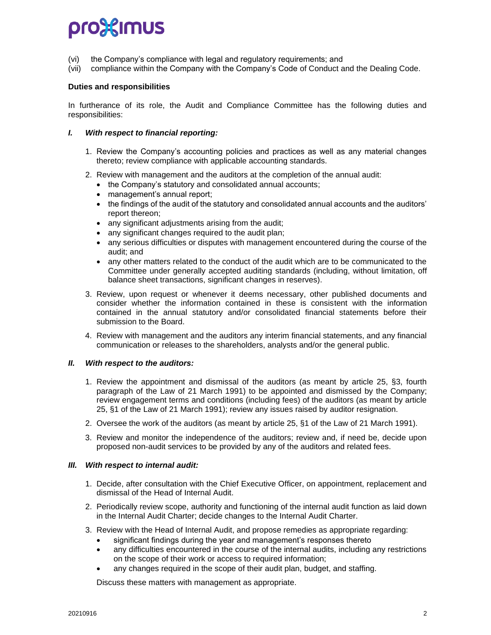# prostimus

- (vi) the Company's compliance with legal and regulatory requirements; and
- (vii) compliance within the Company with the Company's Code of Conduct and the Dealing Code.

### **Duties and responsibilities**

In furtherance of its role, the Audit and Compliance Committee has the following duties and responsibilities:

#### *I. With respect to financial reporting:*

- 1. Review the Company's accounting policies and practices as well as any material changes thereto; review compliance with applicable accounting standards.
- 2. Review with management and the auditors at the completion of the annual audit:
	- the Company's statutory and consolidated annual accounts;
	- management's annual report;
	- the findings of the audit of the statutory and consolidated annual accounts and the auditors' report thereon;
	- any significant adjustments arising from the audit;
	- any significant changes required to the audit plan;
	- any serious difficulties or disputes with management encountered during the course of the audit; and
	- any other matters related to the conduct of the audit which are to be communicated to the Committee under generally accepted auditing standards (including, without limitation, off balance sheet transactions, significant changes in reserves).
- 3. Review, upon request or whenever it deems necessary, other published documents and consider whether the information contained in these is consistent with the information contained in the annual statutory and/or consolidated financial statements before their submission to the Board.
- 4. Review with management and the auditors any interim financial statements, and any financial communication or releases to the shareholders, analysts and/or the general public.

### *II. With respect to the auditors:*

- 1. Review the appointment and dismissal of the auditors (as meant by article 25, §3, fourth paragraph of the Law of 21 March 1991) to be appointed and dismissed by the Company; review engagement terms and conditions (including fees) of the auditors (as meant by article 25, §1 of the Law of 21 March 1991); review any issues raised by auditor resignation.
- 2. Oversee the work of the auditors (as meant by article 25, §1 of the Law of 21 March 1991).
- 3. Review and monitor the independence of the auditors; review and, if need be, decide upon proposed non-audit services to be provided by any of the auditors and related fees.

#### *III. With respect to internal audit:*

- 1. Decide, after consultation with the Chief Executive Officer, on appointment, replacement and dismissal of the Head of Internal Audit.
- 2. Periodically review scope, authority and functioning of the internal audit function as laid down in the Internal Audit Charter; decide changes to the Internal Audit Charter.
- 3. Review with the Head of Internal Audit, and propose remedies as appropriate regarding:
	- significant findings during the year and management's responses thereto
	- any difficulties encountered in the course of the internal audits, including any restrictions on the scope of their work or access to required information;
	- any changes required in the scope of their audit plan, budget, and staffing.

Discuss these matters with management as appropriate.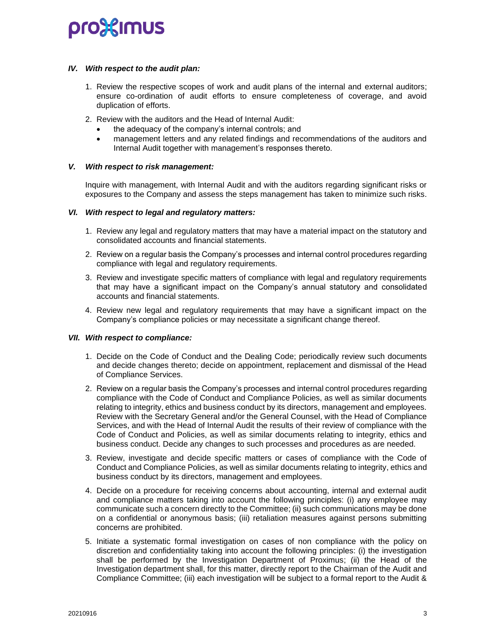# prostimus

### *IV. With respect to the audit plan:*

- 1. Review the respective scopes of work and audit plans of the internal and external auditors; ensure co-ordination of audit efforts to ensure completeness of coverage, and avoid duplication of efforts.
- 2. Review with the auditors and the Head of Internal Audit:
	- the adequacy of the company's internal controls; and
	- management letters and any related findings and recommendations of the auditors and Internal Audit together with management's responses thereto.

## *V. With respect to risk management:*

Inquire with management, with Internal Audit and with the auditors regarding significant risks or exposures to the Company and assess the steps management has taken to minimize such risks.

### *VI. With respect to legal and regulatory matters:*

- 1. Review any legal and regulatory matters that may have a material impact on the statutory and consolidated accounts and financial statements.
- 2. Review on a regular basis the Company's processes and internal control procedures regarding compliance with legal and regulatory requirements.
- 3. Review and investigate specific matters of compliance with legal and regulatory requirements that may have a significant impact on the Company's annual statutory and consolidated accounts and financial statements.
- 4. Review new legal and regulatory requirements that may have a significant impact on the Company's compliance policies or may necessitate a significant change thereof.

### *VII. With respect to compliance:*

- 1. Decide on the Code of Conduct and the Dealing Code; periodically review such documents and decide changes thereto; decide on appointment, replacement and dismissal of the Head of Compliance Services.
- 2. Review on a regular basis the Company's processes and internal control procedures regarding compliance with the Code of Conduct and Compliance Policies, as well as similar documents relating to integrity, ethics and business conduct by its directors, management and employees. Review with the Secretary General and/or the General Counsel, with the Head of Compliance Services, and with the Head of Internal Audit the results of their review of compliance with the Code of Conduct and Policies, as well as similar documents relating to integrity, ethics and business conduct. Decide any changes to such processes and procedures as are needed.
- 3. Review, investigate and decide specific matters or cases of compliance with the Code of Conduct and Compliance Policies, as well as similar documents relating to integrity, ethics and business conduct by its directors, management and employees.
- 4. Decide on a procedure for receiving concerns about accounting, internal and external audit and compliance matters taking into account the following principles: (i) any employee may communicate such a concern directly to the Committee; (ii) such communications may be done on a confidential or anonymous basis; (iii) retaliation measures against persons submitting concerns are prohibited.
- 5. Initiate a systematic formal investigation on cases of non compliance with the policy on discretion and confidentiality taking into account the following principles: (i) the investigation shall be performed by the Investigation Department of Proximus; (ii) the Head of the Investigation department shall, for this matter, directly report to the Chairman of the Audit and Compliance Committee; (iii) each investigation will be subject to a formal report to the Audit &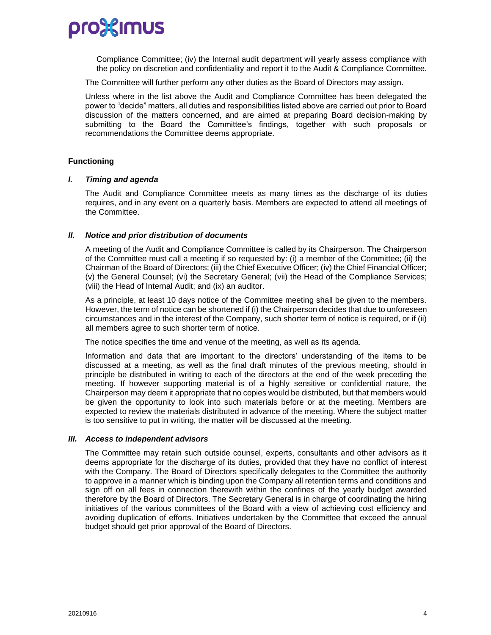

Compliance Committee; (iv) the Internal audit department will yearly assess compliance with the policy on discretion and confidentiality and report it to the Audit & Compliance Committee.

The Committee will further perform any other duties as the Board of Directors may assign.

Unless where in the list above the Audit and Compliance Committee has been delegated the power to "decide" matters, all duties and responsibilities listed above are carried out prior to Board discussion of the matters concerned, and are aimed at preparing Board decision-making by submitting to the Board the Committee's findings, together with such proposals or recommendations the Committee deems appropriate.

#### **Functioning**

#### *I. Timing and agenda*

The Audit and Compliance Committee meets as many times as the discharge of its duties requires, and in any event on a quarterly basis. Members are expected to attend all meetings of the Committee.

### *II. Notice and prior distribution of documents*

A meeting of the Audit and Compliance Committee is called by its Chairperson. The Chairperson of the Committee must call a meeting if so requested by: (i) a member of the Committee; (ii) the Chairman of the Board of Directors; (iii) the Chief Executive Officer; (iv) the Chief Financial Officer; (v) the General Counsel; (vi) the Secretary General; (vii) the Head of the Compliance Services; (viii) the Head of Internal Audit; and (ix) an auditor.

As a principle, at least 10 days notice of the Committee meeting shall be given to the members. However, the term of notice can be shortened if (i) the Chairperson decides that due to unforeseen circumstances and in the interest of the Company, such shorter term of notice is required, or if (ii) all members agree to such shorter term of notice.

The notice specifies the time and venue of the meeting, as well as its agenda.

Information and data that are important to the directors' understanding of the items to be discussed at a meeting, as well as the final draft minutes of the previous meeting, should in principle be distributed in writing to each of the directors at the end of the week preceding the meeting. If however supporting material is of a highly sensitive or confidential nature, the Chairperson may deem it appropriate that no copies would be distributed, but that members would be given the opportunity to look into such materials before or at the meeting. Members are expected to review the materials distributed in advance of the meeting. Where the subject matter is too sensitive to put in writing, the matter will be discussed at the meeting.

#### *III. Access to independent advisors*

The Committee may retain such outside counsel, experts, consultants and other advisors as it deems appropriate for the discharge of its duties, provided that they have no conflict of interest with the Company. The Board of Directors specifically delegates to the Committee the authority to approve in a manner which is binding upon the Company all retention terms and conditions and sign off on all fees in connection therewith within the confines of the yearly budget awarded therefore by the Board of Directors. The Secretary General is in charge of coordinating the hiring initiatives of the various committees of the Board with a view of achieving cost efficiency and avoiding duplication of efforts. Initiatives undertaken by the Committee that exceed the annual budget should get prior approval of the Board of Directors.